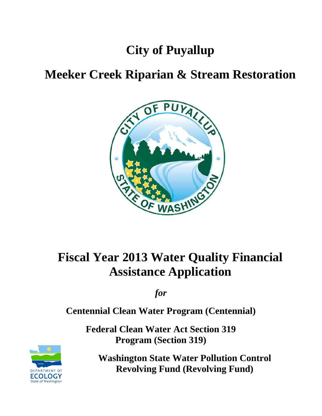# **City of Puyallup**

# **Meeker Creek Riparian & Stream Restoration**



# **Fiscal Year 2013 Water Quality Financial Assistance Application**

*for*

# **Centennial Clean Water Program (Centennial)**

**Federal Clean Water Act Section 319 Program (Section 319)**



**Washington State Water Pollution Control Revolving Fund (Revolving Fund)**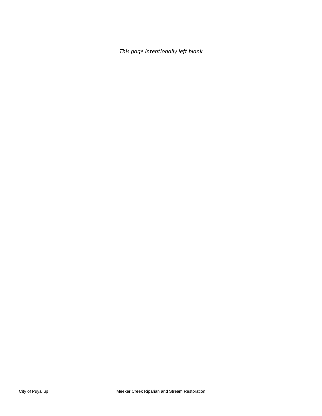*This page intentionally left blank*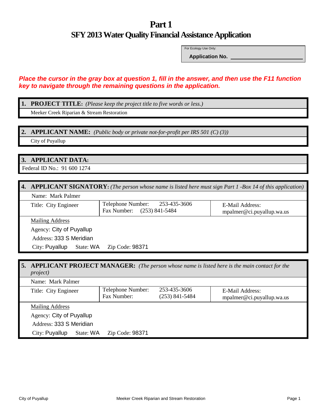For Ecology Use Only:

**Application No.** 

#### *Place the cursor in the gray box at question 1, fill in the answer, and then use the F11 function key to navigate through the remaining questions in the application.*

#### **1. PROJECT TITLE:** *(Please keep the project title to five words or less.)*

Meeker Creek Riparian & Stream Restoration

#### **2. APPLICANT NAME:** *(Public body or private not-for-profit per IRS 501 (C) (3))*

City of Puyallup

#### **3. APPLICANT DATA:**

Federal ID No.: 91 600 1274

| 4. APPLICANT SIGNATORY: (The person whose name is listed here must sign Part 1 -Box 14 of this application) |                                                              |                                             |  |  |
|-------------------------------------------------------------------------------------------------------------|--------------------------------------------------------------|---------------------------------------------|--|--|
| Name: Mark Palmer                                                                                           |                                                              |                                             |  |  |
| Title: City Engineer                                                                                        | Telephone Number: 253-435-3606<br>Fax Number: (253) 841-5484 | E-Mail Address:<br>mpalmer@ci.pyqllup.wa.us |  |  |
| <b>Mailing Address</b>                                                                                      |                                                              |                                             |  |  |
| Agency: City of Puyallup                                                                                    |                                                              |                                             |  |  |
| Address: 333 S Meridian                                                                                     |                                                              |                                             |  |  |
| State: WA<br>City: Puyallup                                                                                 | Zip Code: 98371                                              |                                             |  |  |

#### **5. APPLICANT PROJECT MANAGER:** *(The person whose name is listed here is the main contact for the project)*

| Name: Mark Palmer           |                                  |                                  |                                             |
|-----------------------------|----------------------------------|----------------------------------|---------------------------------------------|
| Title: City Engineer        | Telephone Number:<br>Fax Number: | 253-435-3606<br>$(253)$ 841-5484 | E-Mail Address:<br>mpalmer@ci.pyqllup.wa.us |
| <b>Mailing Address</b>      |                                  |                                  |                                             |
| Agency: City of Puyallup    |                                  |                                  |                                             |
| Address: 333 S Meridian     |                                  |                                  |                                             |
| State: WA<br>City: Puyallup | Zip Code: 98371                  |                                  |                                             |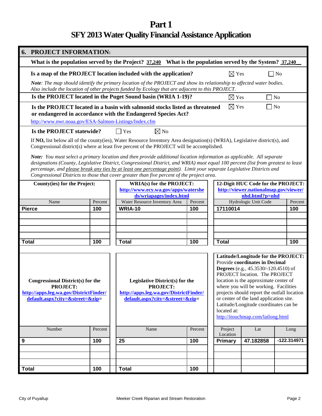| <b>6. PROJECT INFORMATION:</b>                                                                                                    |                                                                                                                                                                                                                                    |                                                                                                                                                                                                                                                                                                                                                                                                                                                                                                                                                                                                                                                                                                                 |         |              |                     |                      |           |               |
|-----------------------------------------------------------------------------------------------------------------------------------|------------------------------------------------------------------------------------------------------------------------------------------------------------------------------------------------------------------------------------|-----------------------------------------------------------------------------------------------------------------------------------------------------------------------------------------------------------------------------------------------------------------------------------------------------------------------------------------------------------------------------------------------------------------------------------------------------------------------------------------------------------------------------------------------------------------------------------------------------------------------------------------------------------------------------------------------------------------|---------|--------------|---------------------|----------------------|-----------|---------------|
|                                                                                                                                   | What is the population served by the Project? 37,240 What is the population served by the System? 37,240                                                                                                                           |                                                                                                                                                                                                                                                                                                                                                                                                                                                                                                                                                                                                                                                                                                                 |         |              |                     |                      |           |               |
| Is a map of the PROJECT location included with the application?<br>$\boxtimes$ Yes<br>$\Box$ No                                   |                                                                                                                                                                                                                                    |                                                                                                                                                                                                                                                                                                                                                                                                                                                                                                                                                                                                                                                                                                                 |         |              |                     |                      |           |               |
|                                                                                                                                   |                                                                                                                                                                                                                                    | Note: The map should identify the primary location of the PROJECT and show its relationship to affected water bodies.<br>Also include the location of other projects funded by Ecology that are adjacent to this PROJECT.                                                                                                                                                                                                                                                                                                                                                                                                                                                                                       |         |              |                     |                      |           |               |
|                                                                                                                                   |                                                                                                                                                                                                                                    | Is the PROJECT located in the Puget Sound basin (WRIA 1-19)?                                                                                                                                                                                                                                                                                                                                                                                                                                                                                                                                                                                                                                                    |         |              | $\boxtimes$ Yes     | $\neg$ No            |           |               |
| http://www.nwr.noaa.gov/ESA-Salmon-Listings/Index.cfm                                                                             |                                                                                                                                                                                                                                    | Is the PROJECT located in a basin with salmonid stocks listed as threatened<br>or endangered in accordance with the Endangered Species Act?                                                                                                                                                                                                                                                                                                                                                                                                                                                                                                                                                                     |         |              | $\boxtimes$ Yes     |                      | $\neg$ No |               |
| Is the PROJECT statewide?                                                                                                         |                                                                                                                                                                                                                                    | $\boxtimes$ No<br>Yes                                                                                                                                                                                                                                                                                                                                                                                                                                                                                                                                                                                                                                                                                           |         |              |                     |                      |           |               |
|                                                                                                                                   |                                                                                                                                                                                                                                    | If NO, list below all of the county(ies), Water Resource Inventory Area designation(s) (WRIA), Legislative district(s), and<br>Congressional district(s) where at least five percent of the PROJECT will be accomplished.<br>Note: You must select a primary location and then provide additional location information as applicable. All separate<br>designations (County, Legislative District, Congressional District, and WRIA) must equal 100 percent (list from greatest to least<br>percentage, and please break any ties by at least one percentage point). Limit your separate Legislative Districts and<br>Congressional Districts to those that cover greater than five percent of the project area. |         |              |                     |                      |           |               |
|                                                                                                                                   | <b>WRIA(s) for the PROJECT:</b><br>12-Digit HUC Code for the PROJECT:<br>County(ies) for the Project:<br>http://viewer.nationalmap.gov/viewer/<br>http://www.ecy.wa.gov/apps/watershe<br>ds/wriapages/index.html<br>nhd.html?p=nhd |                                                                                                                                                                                                                                                                                                                                                                                                                                                                                                                                                                                                                                                                                                                 |         |              |                     |                      |           |               |
| Name                                                                                                                              | Percent                                                                                                                                                                                                                            | Water Resource Inventory Area                                                                                                                                                                                                                                                                                                                                                                                                                                                                                                                                                                                                                                                                                   | Percent |              |                     | Hydrologic Unit Code |           | Percent       |
| <b>Pierce</b>                                                                                                                     | 100                                                                                                                                                                                                                                | <b>WRIA-10</b>                                                                                                                                                                                                                                                                                                                                                                                                                                                                                                                                                                                                                                                                                                  | 100     |              | 17110014            |                      |           | 100           |
|                                                                                                                                   |                                                                                                                                                                                                                                    |                                                                                                                                                                                                                                                                                                                                                                                                                                                                                                                                                                                                                                                                                                                 |         |              |                     |                      |           |               |
|                                                                                                                                   |                                                                                                                                                                                                                                    |                                                                                                                                                                                                                                                                                                                                                                                                                                                                                                                                                                                                                                                                                                                 |         |              |                     |                      |           |               |
|                                                                                                                                   |                                                                                                                                                                                                                                    |                                                                                                                                                                                                                                                                                                                                                                                                                                                                                                                                                                                                                                                                                                                 |         |              |                     |                      |           |               |
| <b>Total</b>                                                                                                                      | 100                                                                                                                                                                                                                                | <b>Total</b>                                                                                                                                                                                                                                                                                                                                                                                                                                                                                                                                                                                                                                                                                                    | 100     | <b>Total</b> |                     |                      |           | 100           |
|                                                                                                                                   |                                                                                                                                                                                                                                    |                                                                                                                                                                                                                                                                                                                                                                                                                                                                                                                                                                                                                                                                                                                 |         |              |                     |                      |           |               |
| Congressional District(s) for the<br><b>PROJECT:</b><br>http://apps.leg.wa.gov/DistrictFinder/<br>default.aspx?city=&street=&zip= |                                                                                                                                                                                                                                    | Latitude/Longitude for the PROJECT:<br>Provide coordinates in Decimal<br><b>Degrees</b> (e.g., 45.3530/-120.4510) of<br>PROJECT location. The PROJECT<br>location is the approximate center of<br>Legislative District(s) for the<br><b>PROJECT:</b><br>where you will be working. Facilities<br>projects should report the outfall location<br>http://apps.leg.wa.gov/DistrictFinder/<br>default.aspx?city=&street=&zip=<br>or center of the land application site.<br>Latitude/Longitude coordinates can be<br>located at:<br>http://itouchmap.com/latlong.html                                                                                                                                               |         |              |                     |                      |           |               |
| Number                                                                                                                            | Percent                                                                                                                                                                                                                            | Name                                                                                                                                                                                                                                                                                                                                                                                                                                                                                                                                                                                                                                                                                                            | Percent |              | Project<br>Location | Lat                  |           | Long          |
| 9                                                                                                                                 | 100                                                                                                                                                                                                                                | 25                                                                                                                                                                                                                                                                                                                                                                                                                                                                                                                                                                                                                                                                                                              | 100     |              | <b>Primary</b>      | 47.182858            |           | $-122.314971$ |
|                                                                                                                                   |                                                                                                                                                                                                                                    |                                                                                                                                                                                                                                                                                                                                                                                                                                                                                                                                                                                                                                                                                                                 |         |              |                     |                      |           |               |
|                                                                                                                                   |                                                                                                                                                                                                                                    |                                                                                                                                                                                                                                                                                                                                                                                                                                                                                                                                                                                                                                                                                                                 |         |              |                     |                      |           |               |
| <b>Total</b>                                                                                                                      | 100                                                                                                                                                                                                                                | <b>Total</b>                                                                                                                                                                                                                                                                                                                                                                                                                                                                                                                                                                                                                                                                                                    | 100     |              |                     |                      |           |               |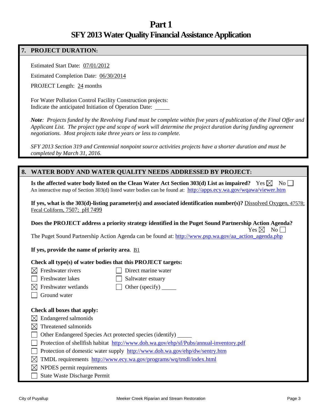#### **7. PROJECT DURATION:**

Estimated Start Date: 07/01/2012

Estimated Completion Date: 06/30/2014

PROJECT Length: 24 months

For Water Pollution Control Facility Construction projects: Indicate the anticipated Initiation of Operation Date:

*Note: Projects funded by the Revolving Fund must be complete within five years of publication of the Final Offer and Applicant List. The project type and scope of work will determine the project duration during funding agreement negotiations. Most projects take three years or less to complete.*

*SFY 2013 Section 319 and Centennial nonpoint source activities projects have a shorter duration and must be completed by March 31, 2016.*

#### **8. WATER BODY AND WATER QUALITY NEEDS ADDRESSED BY PROJECT:**

**Is the affected water body listed on the Clean Water Act Section 303(d) List as impaired?** Yes  $\boxtimes$  No An interactive map of Section 303(d) listed water bodies can be found at:<http://apps.ecy.wa.gov/wqawa/viewer.htm>

**If yes, what is the 303(d)-listing parameter(s) and associated identification number(s)?** Dissolved Oxygen, 47578; Fecal Coliform, 7507; pH 7499

**Does the PROJECT address a priority strategy identified in the Puget Sound Partnership Action Agenda?**  $Yes \boxtimes No \Box$ 

The Puget Sound Partnership Action Agenda can be found at: [http://www.psp.wa.gov/aa\\_action\\_agenda.php](http://www.psp.wa.gov/aa_action_agenda.php)

**If yes, provide the name of priority area**. B1

#### **Check all type(s) of water bodies that this PROJECT targets:**

- $\boxtimes$  Freshwater rivers Direct marine water
- 
- $\Box$  Freshwater lakes  $\Box$  Saltwater estuary
- $\boxtimes$  Freshwater wetlands  $\Box$  Other (specify)
- Ground water

#### **Check all boxes that apply:**

- $\boxtimes$  Endangered salmonids
- $\boxtimes$  Threatened salmonids
- Other Endangered Species Act protected species (identify)
- Protection of shellfish habitat <http://www.doh.wa.gov/ehp/sf/Pubs/annual-inventory.pdf>
- Protection of domestic water supply <http://www.doh.wa.gov/ehp/dw/sentry.htm>

 $\boxtimes$  TMDL requirements <http://www.ecy.wa.gov/programs/wq/tmdl/index.html>

- $\boxtimes$  NPDES permit requirements
- State Waste Discharge Permit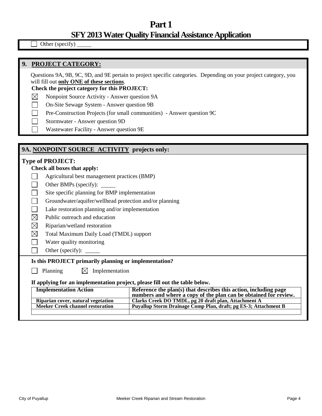| Other (specify) |  |
|-----------------|--|
|-----------------|--|

#### **9. PROJECT CATEGORY:**

Questions 9A, 9B, 9C, 9D, and 9E pertain to project specific categories. Depending on your project category, you will fill out **only ONE of these sections**.

**Check the project category for this PROJECT:**

- Nonpoint Source Activity Answer question 9A ⊠
- $\Box$ On-Site Sewage System - Answer question 9B
- Pre-Construction Projects (for small communities) Answer question 9C  $\Box$
- $\Box$ Stormwater - Answer question 9D
	- Wastewater Facility Answer question 9E

#### **9A. NONPOINT SOURCE ACTIVITY projects only:**

#### **Type of PROJECT:**

#### **Check all boxes that apply:**

Agricultural best management practices (BMP)

| Other BMPs (specify): |  |
|-----------------------|--|
|-----------------------|--|

- Site specific planning for BMP implementation  $\Box$
- П Groundwater/aquifer/wellhead protection and/or planning
- П Lake restoration planning and/or implementation
- $\boxtimes$ Public outreach and education
- $\boxtimes$ Riparian/wetland restoration
- $\boxtimes$ Total Maximum Daily Load (TMDL) support
- $\Box$ Water quality monitoring
- Other (specify): \_

#### **Is this PROJECT primarily planning or implementation?**

 $\Box$  Planning  $\boxtimes$  Implementation

**If applying for an implementation project, please fill out the table below.**

| <b>Implementation Action</b>            | Reference the plan(s) that describes this action, including page<br>numbers and where a copy of the plan can be obtained for review. |
|-----------------------------------------|--------------------------------------------------------------------------------------------------------------------------------------|
| Riparian cover, natural vegetation      | Clarks Creek DO TMDL, pg 20 draft plan, Attachment A                                                                                 |
| <b>Meeker Creek channel restoration</b> | Puyallup Storm Drainage Comp Plan, draft; pg ES-3; Attachment B                                                                      |
|                                         |                                                                                                                                      |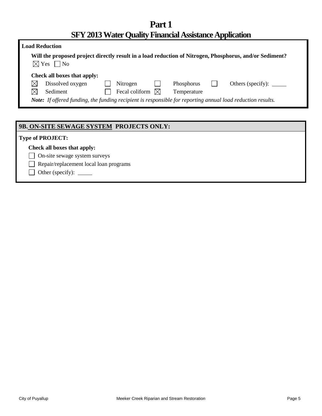| <b>Load Reduction</b>                                                                                       |                            |             |                   |
|-------------------------------------------------------------------------------------------------------------|----------------------------|-------------|-------------------|
| Will the proposed project directly result in a load reduction of Nitrogen, Phosphorus, and/or Sediment?     |                            |             |                   |
| $\boxtimes$ Yes $\Box$ No                                                                                   |                            |             |                   |
| Check all boxes that apply:                                                                                 |                            |             |                   |
| Dissolved oxygen<br>Х                                                                                       | Nitrogen                   | Phosphorus  | Others (specify): |
| Sediment<br>X                                                                                               | Fecal coliform $\boxtimes$ | Temperature |                   |
| Note: If offered funding, the funding recipient is responsible for reporting annual load reduction results. |                            |             |                   |

#### **9B. ON-SITE SEWAGE SYSTEM PROJECTS ONLY:**

#### **Type of PROJECT:**

#### **Check all boxes that apply:**

□ On-site sewage system surveys

Repair/replacement local loan programs

Other (specify):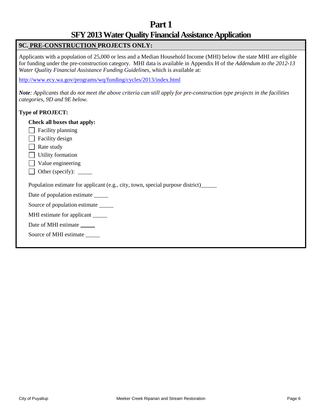#### **9C. PRE-CONSTRUCTION PROJECTS ONLY:**

Applicants with a population of 25,000 or less and a Median Household Income (MHI) below the state MHI are eligible for funding under the pre-construction category. MHI data is available in Appendix H of the *Addendum to the 2012-13 Water Quality Financial Assistance Funding Guidelines,* which is available at:

<http://www.ecy.wa.gov/programs/wq/funding/cycles/2013/index.html>

*Note: Applicants that do not meet the above criteria can still apply for pre-construction type projects in the facilities categories, 9D and 9E below.* 

### **Type of PROJECT:**

| pe of <b>FROJEC1</b> :                                                                                                                                       |
|--------------------------------------------------------------------------------------------------------------------------------------------------------------|
| Check all boxes that apply:                                                                                                                                  |
| Facility planning                                                                                                                                            |
| Facility design                                                                                                                                              |
| Rate study                                                                                                                                                   |
| Utility formation                                                                                                                                            |
| Value engineering                                                                                                                                            |
|                                                                                                                                                              |
| Population estimate for applicant (e.g., city, town, special purpose district)<br>Date of population estimate ______<br>Source of population estimate ______ |
|                                                                                                                                                              |
| MHI estimate for applicant ______                                                                                                                            |
| Date of MHI estimate _______                                                                                                                                 |
| Source of MHI estimate ______                                                                                                                                |
|                                                                                                                                                              |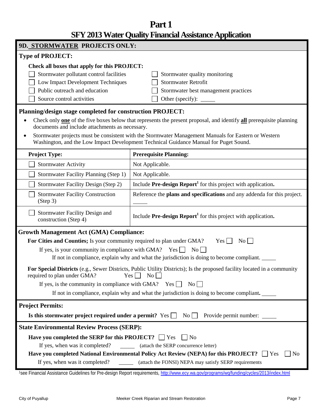|                                                                                                                                                                                      | T FOLD TTRICE QUALITY E HARRORE I RODORHICO I EPPIRATURI                                                                                                                                      |  |
|--------------------------------------------------------------------------------------------------------------------------------------------------------------------------------------|-----------------------------------------------------------------------------------------------------------------------------------------------------------------------------------------------|--|
| 9D. STORMWATER PROJECTS ONLY:                                                                                                                                                        |                                                                                                                                                                                               |  |
| <b>Type of PROJECT:</b>                                                                                                                                                              |                                                                                                                                                                                               |  |
| Check all boxes that apply for this PROJECT:                                                                                                                                         |                                                                                                                                                                                               |  |
| Stormwater pollutant control facilities                                                                                                                                              | Stormwater quality monitoring                                                                                                                                                                 |  |
| Low Impact Development Techniques                                                                                                                                                    | <b>Stormwater Retrofit</b>                                                                                                                                                                    |  |
| Public outreach and education                                                                                                                                                        | Stormwater best management practices                                                                                                                                                          |  |
| Source control activities                                                                                                                                                            | Other (specify): _______                                                                                                                                                                      |  |
| Planning/design stage completed for construction PROJECT:                                                                                                                            |                                                                                                                                                                                               |  |
| documents and include attachments as necessary.                                                                                                                                      | Check only one of the five boxes below that represents the present proposal, and identify all prerequisite planning                                                                           |  |
|                                                                                                                                                                                      | Stormwater projects must be consistent with the Stormwater Management Manuals for Eastern or Western<br>Washington, and the Low Impact Development Technical Guidance Manual for Puget Sound. |  |
| <b>Project Type:</b>                                                                                                                                                                 | <b>Prerequisite Planning:</b>                                                                                                                                                                 |  |
| <b>Stormwater Activity</b>                                                                                                                                                           | Not Applicable.                                                                                                                                                                               |  |
| Stormwater Facility Planning (Step 1)                                                                                                                                                | Not Applicable.                                                                                                                                                                               |  |
| Stormwater Facility Design (Step 2)                                                                                                                                                  | Include Pre-design Report <sup>1</sup> for this project with application.                                                                                                                     |  |
| <b>Stormwater Facility Construction</b><br>(Step 3)                                                                                                                                  | Reference the plans and specifications and any addenda for this project.                                                                                                                      |  |
| Stormwater Facility Design and<br>construction (Step 4)                                                                                                                              | Include Pre-design $\text{Report}^1$ for this project with application.                                                                                                                       |  |
| <b>Growth Management Act (GMA) Compliance:</b>                                                                                                                                       |                                                                                                                                                                                               |  |
| For Cities and Counties; Is your community required to plan under GMA?                                                                                                               | $\rm{No}$<br>Yes                                                                                                                                                                              |  |
| If yes, is your community in compliance with GMA? Yes $\Box$ No $\Box$                                                                                                               |                                                                                                                                                                                               |  |
| If not in compliance, explain why and what the jurisdiction is doing to become compliant.                                                                                            |                                                                                                                                                                                               |  |
| For Special Districts (e.g., Sewer Districts, Public Utility Districts); Is the proposed facility located in a community<br>required to plan under GMA?<br>Yes<br>$\overline{N_{O}}$ |                                                                                                                                                                                               |  |
| If yes, is the community in compliance with GMA? Yes $\Box$ No $\Box$                                                                                                                |                                                                                                                                                                                               |  |
| If not in compliance, explain why and what the jurisdiction is doing to become compliant.                                                                                            |                                                                                                                                                                                               |  |
| <b>Project Permits:</b>                                                                                                                                                              |                                                                                                                                                                                               |  |
| Is this stormwater project required under a permit? $Yes \Box No \Box$<br>Provide permit number:                                                                                     |                                                                                                                                                                                               |  |
| <b>State Environmental Review Process (SERP):</b>                                                                                                                                    |                                                                                                                                                                                               |  |
| Have you completed the SERP for this PROJECT? $\Box$ Yes<br>$\vert$   No                                                                                                             |                                                                                                                                                                                               |  |
| If yes, when was it completed?<br>(attach the SERP concurrence letter)                                                                                                               |                                                                                                                                                                                               |  |
| Have you completed National Environmental Policy Act Review (NEPA) for this PROJECT? These<br>No                                                                                     |                                                                                                                                                                                               |  |
| If yes, when was it completed?                                                                                                                                                       | (attach the FONSI) NEPA may satisfy SERP requirements                                                                                                                                         |  |
|                                                                                                                                                                                      |                                                                                                                                                                                               |  |

1see Financial Assistance Guidelines for Pre-design Report requirements, <http://www.ecy.wa.gov/programs/wq/funding/cycles/2013/index.html>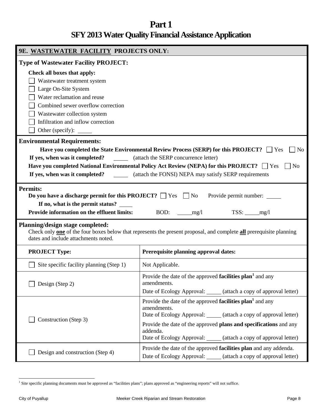| 9E. WASTEWATER FACILITY PROJECTS ONLY:                                                                                                                                                                                                                                                                                                                                                                       |                                                                                                                                                                                                                                                                                                             |  |  |
|--------------------------------------------------------------------------------------------------------------------------------------------------------------------------------------------------------------------------------------------------------------------------------------------------------------------------------------------------------------------------------------------------------------|-------------------------------------------------------------------------------------------------------------------------------------------------------------------------------------------------------------------------------------------------------------------------------------------------------------|--|--|
| <b>Type of Wastewater Facility PROJECT:</b>                                                                                                                                                                                                                                                                                                                                                                  |                                                                                                                                                                                                                                                                                                             |  |  |
| Check all boxes that apply:<br>Wastewater treatment system<br>Large On-Site System<br>Water reclamation and reuse<br>Combined sewer overflow correction<br>Wastewater collection system<br>Infiltration and inflow correction<br>Other (specify):<br><b>Environmental Requirements:</b><br>Have you completed the State Environmental Review Process (SERP) for this PROJECT?<br>$ $   Yes<br>N <sub>0</sub> |                                                                                                                                                                                                                                                                                                             |  |  |
| If yes, when was it completed?<br>(attach the SERP concurrence letter)<br>Have you completed National Environmental Policy Act Review (NEPA) for this PROJECT? $\Box$ Yes<br>$\Box$ No<br>If yes, when was it completed?<br>(attach the FONSI) NEPA may satisfy SERP requirements                                                                                                                            |                                                                                                                                                                                                                                                                                                             |  |  |
| <b>Permits:</b><br>Do you have a discharge permit for this PROJECT? $\Box$ Yes<br>$\vert$ No<br>Provide permit number:<br>If no, what is the permit status?<br>Provide information on the effluent limits:<br>BOD:<br>$TSS:$ $mg/l$<br>mg/1                                                                                                                                                                  |                                                                                                                                                                                                                                                                                                             |  |  |
| Planning/design stage completed:<br>dates and include attachments noted.                                                                                                                                                                                                                                                                                                                                     | Check only one of the four boxes below that represents the present proposal, and complete all prerequisite planning                                                                                                                                                                                         |  |  |
| <b>PROJECT Type:</b>                                                                                                                                                                                                                                                                                                                                                                                         | Prerequisite planning approval dates:                                                                                                                                                                                                                                                                       |  |  |
| Site specific facility planning (Step 1)                                                                                                                                                                                                                                                                                                                                                                     | Not Applicable.                                                                                                                                                                                                                                                                                             |  |  |
| Design (Step 2)                                                                                                                                                                                                                                                                                                                                                                                              | Provide the date of the approved <b>facilities plan</b> <sup>1</sup> and any<br>amendments.<br>Date of Ecology Approval: _____ (attach a copy of approval letter)                                                                                                                                           |  |  |
| Construction (Step 3)                                                                                                                                                                                                                                                                                                                                                                                        | Provide the date of the approved <b>facilities plan</b> and any<br>amendments.<br>Date of Ecology Approval: _____ (attach a copy of approval letter)<br>Provide the date of the approved plans and specifications and any<br>addenda.<br>Date of Ecology Approval: _____ (attach a copy of approval letter) |  |  |
| Design and construction (Step 4)                                                                                                                                                                                                                                                                                                                                                                             | Provide the date of the approved facilities plan and any addenda.<br>Date of Ecology Approval: _____ (attach a copy of approval letter)                                                                                                                                                                     |  |  |

<sup>&</sup>lt;sup>1</sup> Site specific planning documents must be approved as "facilities plans"; plans approved as "engineering reports" will not suffice.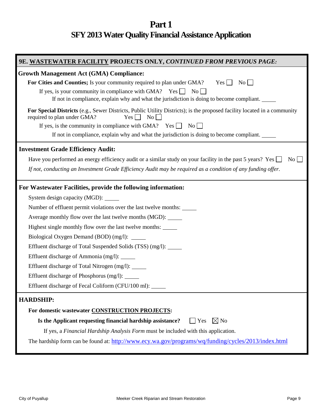| 9E. WASTEWATER FACILITY PROJECTS ONLY, CONTINUED FROM PREVIOUS PAGE:                                                                                                                                |
|-----------------------------------------------------------------------------------------------------------------------------------------------------------------------------------------------------|
| <b>Growth Management Act (GMA) Compliance:</b>                                                                                                                                                      |
| For Cities and Counties; Is your community required to plan under GMA?<br>No<br>$Yes \mid \mid$                                                                                                     |
| If yes, is your community in compliance with GMA? Yes $\Box$ No $\Box$                                                                                                                              |
| If not in compliance, explain why and what the jurisdiction is doing to become compliant.                                                                                                           |
| For Special Districts (e.g., Sewer Districts, Public Utility Districts); is the proposed facility located in a community<br>required to plan under GMA?<br>$Yes \nightharpoonup No \nightharpoonup$ |
| If yes, is the community in compliance with GMA? Yes $\Box$ No $\Box$                                                                                                                               |
| If not in compliance, explain why and what the jurisdiction is doing to become compliant.                                                                                                           |
| <b>Investment Grade Efficiency Audit:</b>                                                                                                                                                           |
| Have you performed an energy efficiency audit or a similar study on your facility in the past 5 years? Yes<br>$\overline{N_{O}}$                                                                    |
| If not, conducting an Investment Grade Efficiency Audit may be required as a condition of any funding offer.                                                                                        |
| For Wastewater Facilities, provide the following information:                                                                                                                                       |
| System design capacity (MGD): _____                                                                                                                                                                 |
| Number of effluent permit violations over the last twelve months:                                                                                                                                   |
| Average monthly flow over the last twelve months (MGD): ______                                                                                                                                      |
| Highest single monthly flow over the last twelve months:                                                                                                                                            |
| Biological Oxygen Demand (BOD) (mg/l): ______                                                                                                                                                       |
| Effluent discharge of Total Suspended Solids (TSS) (mg/l): _____                                                                                                                                    |
| Effluent discharge of Ammonia (mg/l): ______                                                                                                                                                        |
| Effluent discharge of Total Nitrogen (mg/l): _____                                                                                                                                                  |
| Effluent discharge of Phosphorus (mg/l): ______                                                                                                                                                     |
| Effluent discharge of Fecal Coliform (CFU/100 ml): _____                                                                                                                                            |
| <b>HARDSHIP:</b>                                                                                                                                                                                    |
| For domestic wastewater CONSTRUCTION PROJECTS:                                                                                                                                                      |
| $\boxtimes$ No<br>Is the Applicant requesting financial hardship assistance?<br>$\vert \vert$ Yes                                                                                                   |
| If yes, a Financial Hardship Analysis Form must be included with this application.                                                                                                                  |
| The hardship form can be found at: http://www.ecy.wa.gov/programs/wq/funding/cycles/2013/index.html                                                                                                 |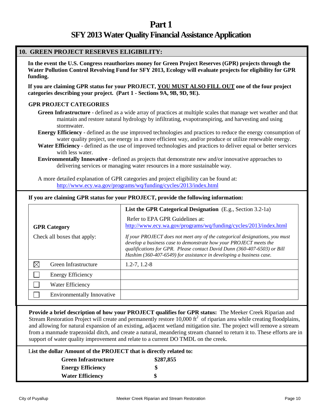#### **10. GREEN PROJECT RESERVES ELIGIBILITY:**

**In the event the U.S. Congress reauthorizes money for Green Project Reserves (GPR) projects through the Water Pollution Control Revolving Fund for SFY 2013, Ecology will evaluate projects for eligibility for GPR funding.** 

**If you are claiming GPR status for your PROJECT, YOU MUST ALSO FILL OUT one of the four project categories describing your project. (Part 1 - Sections 9A, 9B, 9D, 9E).**

#### **GPR PROJECT CATEGORIES**

- **Green Infrastructure** defined as a wide array of practices at multiple scales that manage wet weather and that maintain and restore natural hydrology by infiltrating, evapotranspiring, and harvesting and using stormwater.
- **Energy Efficiency** defined as the use improved technologies and practices to reduce the energy consumption of water quality project, use energy in a more efficient way, and/or produce or utilize renewable energy.
- **Water Efficiency** defined as the use of improved technologies and practices to deliver equal or better services with less water.
- **Environmentally Innovative** defined as projects that demonstrate new and/or innovative approaches to delivering services or managing water resources in a more sustainable way.

A more detailed explanation of GPR categories and project eligibility can be found at: <http://www.ecy.wa.gov/programs/wq/funding/cycles/2013/index.html>

|                             | List the GPR Categorical Designation (E.g., Section 3.2-1a)                                                                                                                                                                                                                                         |
|-----------------------------|-----------------------------------------------------------------------------------------------------------------------------------------------------------------------------------------------------------------------------------------------------------------------------------------------------|
| <b>GPR Category</b>         | Refer to EPA GPR Guidelines at:<br>http://www.ecy.wa.gov/programs/wq/funding/cycles/2013/index.html                                                                                                                                                                                                 |
| Check all boxes that apply: | If your PROJECT does not meet any of the categorical designations, you must<br>develop a business case to demonstrate how your PROJECT meets the<br>qualifications for GPR. Please contact David Dunn (360-407-6503) or Bill<br>Hashim (360-407-6549) for assistance in developing a business case. |
| Green Infrastructure        | $1.2 - 7, 1.2 - 8$                                                                                                                                                                                                                                                                                  |
| <b>Energy Efficiency</b>    |                                                                                                                                                                                                                                                                                                     |
| Water Efficiency            |                                                                                                                                                                                                                                                                                                     |
| Environmentally Innovative  |                                                                                                                                                                                                                                                                                                     |

#### **If you are claiming GPR status for your PROJECT, provide the following information:**

**Provide a brief description of how your PROJECT qualifies for GPR status:** The Meeker Creek Riparian and Stream Restoration Project will create and permanently restore  $10,000$   $\text{ft}^2$  of riparian area while creating floodplains, and allowing for natural expansion of an existing, adjacent wetland mitigation site. The project will remove a stream from a manmade trapezoidal ditch, and create a natural, meandering stream channel to return it to. These efforts are in support of water quality improvement and relate to a current DO TMDL on the creek.

| List the dollar Amount of the PROJECT that is directly related to: |           |
|--------------------------------------------------------------------|-----------|
| <b>Green Infrastructure</b>                                        | \$287,855 |
| <b>Energy Efficiency</b>                                           | S         |
| <b>Water Efficiency</b>                                            |           |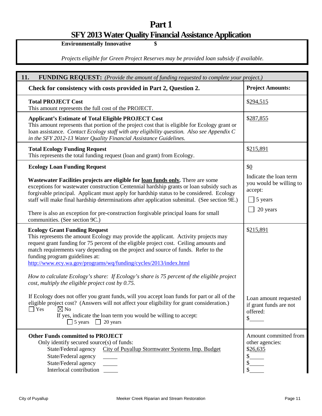**Environmentally Innovative \$**

*Projects eligible for Green Project Reserves may be provided loan subsidy if available.*

<span id="page-12-0"></span>

| 11.<br>FUNDING REQUEST: (Provide the amount of funding requested to complete your project.)                                                                                                                                                                                                                                                                                                                       |                                                                                     |
|-------------------------------------------------------------------------------------------------------------------------------------------------------------------------------------------------------------------------------------------------------------------------------------------------------------------------------------------------------------------------------------------------------------------|-------------------------------------------------------------------------------------|
| Check for consistency with costs provided in Part 2, Question 2.                                                                                                                                                                                                                                                                                                                                                  | <b>Project Amounts:</b>                                                             |
| <b>Total PROJECT Cost</b><br>This amount represents the full cost of the PROJECT.                                                                                                                                                                                                                                                                                                                                 | \$294,515                                                                           |
| <b>Applicant's Estimate of Total Eligible PROJECT Cost</b><br>This amount represents that portion of the project cost that is eligible for Ecology grant or<br>loan assistance. Contact Ecology staff with any eligibility question. Also see Appendix C<br>in the SFY 2012-13 Water Quality Financial Assistance Guidelines.                                                                                     | \$287,855                                                                           |
| <b>Total Ecology Funding Request</b><br>This represents the total funding request (loan and grant) from Ecology.                                                                                                                                                                                                                                                                                                  | \$215,891                                                                           |
| <b>Ecology Loan Funding Request</b>                                                                                                                                                                                                                                                                                                                                                                               | $\frac{1}{2}$                                                                       |
| Wastewater Facilities projects are eligible for loan funds only. There are some<br>exceptions for wastewater construction Centennial hardship grants or loan subsidy such as<br>forgivable principal. Applicant must apply for hardship status to be considered. Ecology<br>staff will make final hardship determinations after application submittal. (See section 9E.)                                          | Indicate the loan term<br>you would be willing to<br>accept:<br>5 years<br>20 years |
| There is also an exception for pre-construction forgivable principal loans for small<br>communities. (See section 9C.)                                                                                                                                                                                                                                                                                            |                                                                                     |
| <b>Ecology Grant Funding Request</b><br>This represents the amount Ecology may provide the applicant. Activity projects may<br>request grant funding for 75 percent of the eligible project cost. Ceiling amounts and<br>match requirements vary depending on the project and source of funds. Refer to the<br>funding program guidelines at:<br>http://www.ecy.wa.gov/programs/wq/funding/cycles/2013/index.html | \$215,891                                                                           |
| How to calculate Ecology's share: If Ecology's share is 75 percent of the eligible project<br>cost, multiply the eligible project cost by 0.75.                                                                                                                                                                                                                                                                   |                                                                                     |
| If Ecology does not offer you grant funds, will you accept loan funds for part or all of the<br>eligible project cost? (Answers will not affect your eligibility for grant consideration.)<br>$\boxtimes$ No<br>Yes<br>If yes, indicate the loan term you would be willing to accept:<br>$\Box$ 5 years<br>$\Box$ 20 years                                                                                        | Loan amount requested<br>if grant funds are not<br>offered:<br>$\mathbb{S}^-$       |
| <b>Other Funds committed to PROJECT</b><br>Only identify secured source(s) of funds:<br>State/Federal agency<br><b>City of Puyallup Stormwater Systems Imp. Budget</b><br>State/Federal agency<br>State/Federal agency<br>Interlocal contribution                                                                                                                                                                 | Amount committed from<br>other agencies:<br>\$26,635<br>\$                          |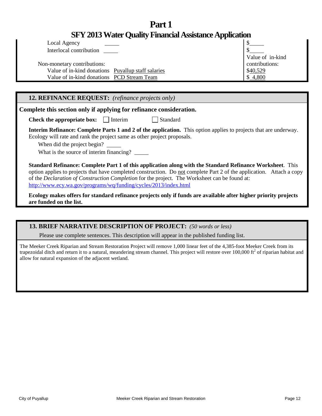| Local Agency            |  | D |
|-------------------------|--|---|
| Interlocal contribution |  |   |

| Non-monetary contributions:                        |  |
|----------------------------------------------------|--|
| Value of in-kind donations Puyallup staff salaries |  |
| Value of in-kind donations PCD Stream Team         |  |

#### **12. REFINANCE REQUEST:** *(refinance projects only)*

**Complete this section only if applying for refinance consideration.**

**Check the appropriate box:** □ Interim □ Standard

**Interim Refinance: Complete Parts 1 and 2 of the application.** This option applies to projects that are underway. Ecology will rate and rank the project same as other project proposals.

When did the project begin?

What is the source of interim financing?

**Standard Refinance: Complete Part 1 of this application along with the Standard Refinance Worksheet**. This option applies to projects that have completed construction. Do not complete Part 2 of the application. Attach a copy of the *Declaration of Construction Completion* for the project. The Worksheet can be found at: <http://www.ecy.wa.gov/programs/wq/funding/cycles/2013/index.html>

**Ecology makes offers for standard refinance projects only if funds are available after higher priority projects are funded on the list.**

#### **13. BRIEF NARRATIVE DESCRIPTION OF PROJECT:** *(50 words or less)*

Please use complete sentences. This description will appear in the published funding list.

The Meeker Creek Riparian and Stream Restoration Project will remove 1,000 linear feet of the 4,385-foot Meeker Creek from its trapezoidal ditch and return it to a natural, meandering stream channel. This project will restore over  $100,000$  ft<sup>2</sup> of riparian habitat and allow for natural expansion of the adjacent wetland.

Value of in-kind contributions: \$40,529 \$ 4,800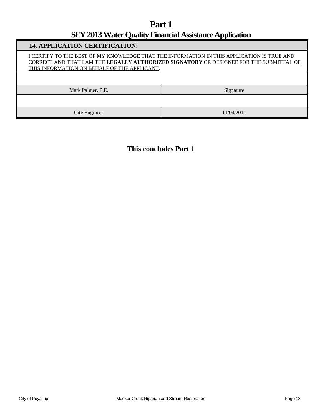| <b>14. APPLICATION CERTIFICATION:</b>                                                                                                                                                                                                 |            |  |
|---------------------------------------------------------------------------------------------------------------------------------------------------------------------------------------------------------------------------------------|------------|--|
| I CERTIFY TO THE BEST OF MY KNOWLEDGE THAT THE INFORMATION IN THIS APPLICATION IS TRUE AND<br>CORRECT AND THAT I AM THE LEGALLY AUTHORIZED SIGNATORY OR DESIGNEE FOR THE SUBMITTAL OF<br>THIS INFORMATION ON BEHALF OF THE APPLICANT. |            |  |
|                                                                                                                                                                                                                                       |            |  |
| Mark Palmer, P.E.                                                                                                                                                                                                                     | Signature  |  |
|                                                                                                                                                                                                                                       |            |  |
| City Engineer                                                                                                                                                                                                                         | 11/04/2011 |  |

**This concludes Part 1**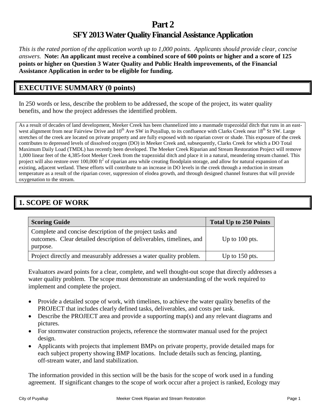*This is the rated portion of the application worth up to 1,000 points. Applicants should provide clear, concise answers.* **Note: An applicant must receive a combined score of 600 points or higher and a score of 125 points or higher on Question 3 Water Quality and Public Health improvements, of the Financial Assistance Application in order to be eligible for funding.** 

### **EXECUTIVE SUMMARY (0 points)**

In 250 words or less, describe the problem to be addressed, the scope of the project, its water quality benefits, and how the project addresses the identified problem.

As a result of decades of land development, Meeker Creek has been channelized into a manmade trapezoidal ditch that runs in an eastwest alignment from near Fairview Drive and  $10<sup>th</sup>$  Ave SW in Puyallup, to its confluence with Clarks Creek near  $18<sup>th</sup>$  St SW. Large stretches of the creek are located on private property and are fully exposed with no riparian cover or shade. This exposure of the creek contributes to depressed levels of dissolved oxygen (DO) in Meeker Creek and, subsequently, Clarks Creek for which a DO Total Maximum Daily Load (TMDL) has recently been developed. The Meeker Creek Riparian and Stream Restoration Project will remove 1,000 linear feet of the 4,385-foot Meeker Creek from the trapezoidal ditch and place it in a natural, meandering stream channel. This project will also restore over 100,000  $\text{ft}^2$  of riparian area while creating floodplain storage, and allow for natural expansion of an existing, adjacent wetland. These efforts will contribute to an increase in DO levels in the creek through a reduction in stream temperature as a result of the riparian cover, suppression of elodea growth, and through designed channel features that will provide oxygenation to the stream.

### **1. SCOPE OF WORK**

| <b>Scoring Guide</b>                                                                                                                          | <b>Total Up to 250 Points</b> |
|-----------------------------------------------------------------------------------------------------------------------------------------------|-------------------------------|
| Complete and concise description of the project tasks and<br>outcomes. Clear detailed description of deliverables, timelines, and<br>purpose. | Up to $100$ pts.              |
| Project directly and measurably addresses a water quality problem.                                                                            | Up to $150$ pts.              |

Evaluators award points for a clear, complete, and well thought-out scope that directly addresses a water quality problem. The scope must demonstrate an understanding of the work required to implement and complete the project.

- Provide a detailed scope of work, with timelines, to achieve the water quality benefits of the PROJECT that includes clearly defined tasks, deliverables, and costs per task.
- Describe the PROJECT area and provide a supporting map(s) and any relevant diagrams and pictures.
- For stormwater construction projects, reference the stormwater manual used for the project design.
- Applicants with projects that implement BMPs on private property, provide detailed maps for each subject property showing BMP locations. Include details such as fencing, planting, off-stream water, and land stabilization.

The information provided in this section will be the basis for the scope of work used in a funding agreement. If significant changes to the scope of work occur after a project is ranked, Ecology may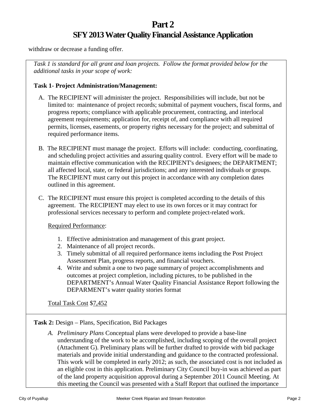withdraw or decrease a funding offer.

*Task 1 is standard for all grant and loan projects. Follow the format provided below for the additional tasks in your scope of work:*

#### **Task 1- Project Administration/Management:**

- A. The RECIPIENT will administer the project. Responsibilities will include, but not be limited to: maintenance of project records; submittal of payment vouchers, fiscal forms, and progress reports; compliance with applicable procurement, contracting, and interlocal agreement requirements; application for, receipt of, and compliance with all required permits, licenses, easements, or property rights necessary for the project; and submittal of required performance items.
- B. The RECIPIENT must manage the project. Efforts will include: conducting, coordinating, and scheduling project activities and assuring quality control. Every effort will be made to maintain effective communication with the RECIPIENT's designees; the DEPARTMENT; all affected local, state, or federal jurisdictions; and any interested individuals or groups. The RECIPIENT must carry out this project in accordance with any completion dates outlined in this agreement.
- C. The RECIPIENT must ensure this project is completed according to the details of this agreement. The RECIPIENT may elect to use its own forces or it may contract for professional services necessary to perform and complete project-related work.

Required Performance:

- 1. Effective administration and management of this grant project.
- 2. Maintenance of all project records.
- 3. Timely submittal of all required performance items including the Post Project Assessment Plan, progress reports, and financial vouchers.
- 4. Write and submit a one to two page summary of project accomplishments and outcomes at project completion, including pictures, to be published in the DEPARTMENT's Annual Water Quality Financial Assistance Report following the DEPARMENT's water quality stories format

Total Task Cost \$7,452

**Task 2:** Design – Plans, Specification, Bid Packages

*A. Preliminary Plans* Conceptual plans were developed to provide a base-line understanding of the work to be accomplished, including scoping of the overall project (Attachment G). Preliminary plans will be further drafted to provide with bid package materials and provide initial understanding and guidance to the contracted professional. This work will be completed in early 2012; as such, the associated cost is not included as an eligible cost in this application. Preliminary City Council buy-in was achieved as part of the land property acquisition approval during a September 2011 Council Meeting. At this meeting the Council was presented with a Staff Report that outlined the importance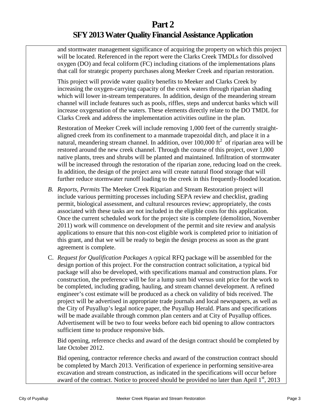and stormwater management significance of acquiring the property on which this project will be located. Referenced in the report were the Clarks Creek TMDLs for dissolved oxygen (DO) and fecal coliform (FC) including citations of the implementations plans that call for strategic property purchases along Meeker Creek and riparian restoration.

This project will provide water quality benefits to Meeker and Clarks Creek by increasing the oxygen-carrying capacity of the creek waters through riparian shading which will lower in-stream temperatures. In addition, design of the meandering stream channel will include features such as pools, riffles, steps and undercut banks which will increase oxygenation of the waters. These elements directly relate to the DO TMDL for Clarks Creek and address the implementation activities outline in the plan.

Restoration of Meeker Creek will include removing 1,000 feet of the currently straightaligned creek from its confinement to a manmade trapezoidal ditch, and place it in a natural, meandering stream channel. In addition, over 100,000 ft<sup>2</sup> of riparian area will be restored around the new creek channel. Through the course of this project, over 1,000 native plants, trees and shrubs will be planted and maintained. Infiltration of stormwater will be increased through the restoration of the riparian zone, reducing load on the creek. In addition, the design of the project area will create natural flood storage that will further reduce stormwater runoff loading to the creek in this frequently-flooded location.

- *B. Reports, Permits* The Meeker Creek Riparian and Stream Restoration project will include various permitting processes including SEPA review and checklist, grading permit, biological assessment, and cultural resources review; appropriately, the costs associated with these tasks are not included in the eligible costs for this application. Once the current scheduled work for the project site is complete (demolition, November 2011) work will commence on development of the permit and site review and analysis applications to ensure that this non-cost eligible work is completed prior to initiation of this grant, and that we will be ready to begin the design process as soon as the grant agreement is complete.
- C. *Request for Qualification Packages* A typical RFQ package will be assembled for the design portion of this project. For the construction contract solicitation, a typical bid package will also be developed, with specifications manual and construction plans. For construction, the preference will be for a lump sum bid versus unit price for the work to be completed, including grading, hauling, and stream channel development. A refined engineer's cost estimate will be produced as a check on validity of bids received. The project will be advertised in appropriate trade journals and local newspapers, as well as the City of Puyallup's legal notice paper, the Puyallup Herald. Plans and specifications will be made available through common plan centers and at City of Puyallup offices. Advertisement will be two to four weeks before each bid opening to allow contractors sufficient time to produce responsive bids.

Bid opening, reference checks and award of the design contract should be completed by late October 2012.

Bid opening, contractor reference checks and award of the construction contract should be completed by March 2013. Verification of experience in performing sensitive-area excavation and stream construction, as indicated in the specifications will occur before award of the contract. Notice to proceed should be provided no later than April  $1<sup>st</sup>$ , 2013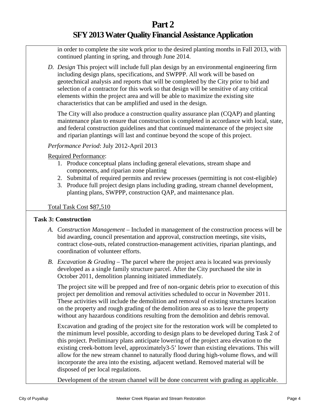in order to complete the site work prior to the desired planting months in Fall 2013, with continued planting in spring, and through June 2014.

*D. Design* This project will include full plan design by an environmental engineering firm including design plans, specifications, and SWPPP. All work will be based on geotechnical analysis and reports that will be completed by the City prior to bid and selection of a contractor for this work so that design will be sensitive of any critical elements within the project area and will be able to maximize the existing site characteristics that can be amplified and used in the design.

The City will also produce a construction quality assurance plan (CQAP) and planting maintenance plan to ensure that construction is completed in accordance with local, state, and federal construction guidelines and that continued maintenance of the project site and riparian plantings will last and continue beyond the scope of this project.

#### *Performance Period*: July 2012-April 2013

#### Required Performance:

- 1. Produce conceptual plans including general elevations, stream shape and components, and riparian zone planting
- 2. Submittal of required permits and review processes (permitting is not cost-eligible)
- 3. Produce full project design plans including grading, stream channel development, planting plans, SWPPP, construction QAP, and maintenance plan.

#### Total Task Cost \$87,510

#### **Task 3: Construction**

- *A. Construction Management* Included in management of the construction process will be bid awarding, council presentation and approval, construction meetings, site visits, contract close-outs, related construction-management activities, riparian plantings, and coordination of volunteer efforts.
- *B. Excavation & Grading* The parcel where the project area is located was previously developed as a single family structure parcel. After the City purchased the site in October 2011, demolition planning initiated immediately.

The project site will be prepped and free of non-organic debris prior to execution of this project per demolition and removal activities scheduled to occur in November 2011. These activities will include the demolition and removal of existing structures location on the property and rough grading of the demolition area so as to leave the property without any hazardous conditions resulting from the demolition and debris removal.

Excavation and grading of the project site for the restoration work will be completed to the minimum level possible, according to design plans to be developed during Task 2 of this project. Preliminary plans anticipate lowering of the project area elevation to the existing creek-bottom level, approximately3-5' lower than existing elevations. This will allow for the new stream channel to naturally flood during high-volume flows, and will incorporate the area into the existing, adjacent wetland. Removed material will be disposed of per local regulations.

Development of the stream channel will be done concurrent with grading as applicable.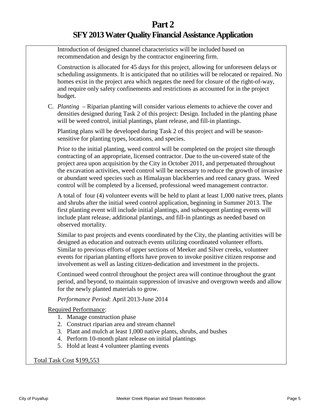Introduction of designed channel characteristics will be included based on recommendation and design by the contractor engineering firm.

Construction is allocated for 45 days for this project, allowing for unforeseen delays or scheduling assignments. It is anticipated that no utilities will be relocated or repaired. No homes exist in the project area which negates the need for closure of the right-of-way, and require only safety confinements and restrictions as accounted for in the project budget.

C. *Planting* – Riparian planting will consider various elements to achieve the cover and densities designed during Task 2 of this project: Design. Included in the planting phase will be weed control, initial plantings, plant release, and fill-in plantings.

Planting plans will be developed during Task 2 of this project and will be seasonsensitive for planting types, locations, and species.

Prior to the initial planting, weed control will be completed on the project site through contracting of an appropriate, licensed contractor. Due to the un-covered state of the project area upon acquisition by the City in October 2011, and perpetuated throughout the excavation activities, weed control will be necessary to reduce the growth of invasive or abundant weed species such as Himalayan blackberries and reed canary grass. Weed control will be completed by a licensed, professional weed management contractor.

A total of four (4) volunteer events will be held to plant at least 1,000 native trees, plants and shrubs after the initial weed control application, beginning in Summer 2013. The first planting event will include initial plantings, and subsequent planting events will include plant release, additional plantings, and fill-in plantings as needed based on observed mortality.

Similar to past projects and events coordinated by the City, the planting activities will be designed as education and outreach events utilizing coordinated volunteer efforts. Similar to previous efforts of upper sections of Meeker and Silver creeks, volunteer events for riparian planting efforts have proven to invoke positive citizen response and involvement as well as lasting citizen-dedication and investment in the projects.

Continued weed control throughout the project area will continue throughout the grant period, and beyond, to maintain suppression of invasive and overgrown weeds and allow for the newly planted materials to grow.

*Performance Period*: April 2013-June 2014

Required Performance:

- 1. Manage construction phase
- 2. Construct riparian area and stream channel
- 3. Plant and mulch at least 1,000 native plants, shrubs, and bushes
- 4. Perform 10-month plant release on initial plantings
- 5. Hold at least 4 volunteer planting events

#### Total Task Cost \$199,553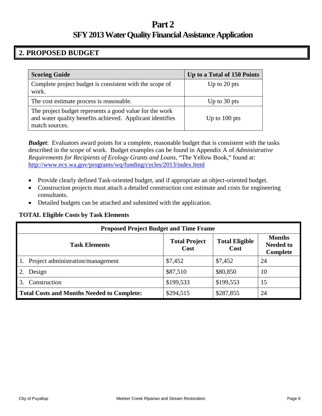### **2. PROPOSED BUDGET**

| <b>Scoring Guide</b>                                                                                                                   | Up to a Total of 150 Points |
|----------------------------------------------------------------------------------------------------------------------------------------|-----------------------------|
| Complete project budget is consistent with the scope of<br>work.                                                                       | Up to 20 pts                |
| The cost estimate process is reasonable.                                                                                               | Up to 30 pts                |
| The project budget represents a good value for the work<br>and water quality benefits achieved. Applicant identifies<br>match sources. | Up to $100$ pts             |

*Budget*: Evaluators award points for a complete, reasonable budget that is consistent with the tasks described in the scope of work. Budget examples can be found in Appendix A of *Administrative Requirements for Recipients of Ecology Grants and Loans,* "The Yellow Book," found at: <http://www.ecy.wa.gov/programs/wq/funding/cycles/2013/index.html>

- Provide clearly defined Task-oriented budget, and if appropriate an object-oriented budget.
- Construction projects must attach a detailed construction cost estimate and costs for engineering consultants.
- Detailed budgets can be attached and submitted with the application.

#### **TOTAL Eligible Costs by Task Elements**

| <b>Proposed Project Budget and Time Frame</b> |                              |                               |                                               |
|-----------------------------------------------|------------------------------|-------------------------------|-----------------------------------------------|
| <b>Task Elements</b>                          | <b>Total Project</b><br>Cost | <b>Total Eligible</b><br>Cost | <b>Months</b><br><b>Needed to</b><br>Complete |
| Project administration/management             | \$7,452                      | \$7,452                       | 24                                            |
| Design                                        | \$87,510                     | \$80,850                      | 10                                            |
| Construction                                  | \$199,533                    | \$199,553                     | 15                                            |
| Total Costs and Months Needed to Complete:    | \$294,515                    | \$287,855                     | 24                                            |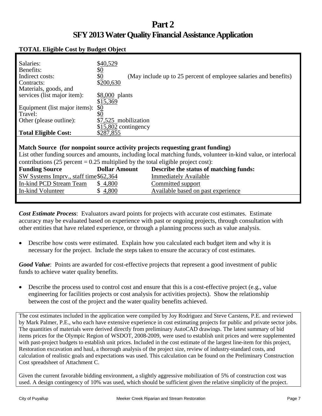**TOTAL Eligible Cost by Budget Object**

| $\sim$ 1111 $\sim$ 11151010 $\sim$ 0000 0) $\sim$ 0000 000 000000                                              |                                         |                                                                               |
|----------------------------------------------------------------------------------------------------------------|-----------------------------------------|-------------------------------------------------------------------------------|
| Salaries:                                                                                                      | \$40,529                                |                                                                               |
| Benefits:                                                                                                      |                                         |                                                                               |
| Indirect costs:                                                                                                | $\frac{$\overline{0}]}{$\frac{$0}{0}$}$ | (May include up to 25 percent of employee salaries and benefits)              |
| Contracts:                                                                                                     | \$200,630                               |                                                                               |
| Materials, goods, and                                                                                          |                                         |                                                                               |
| services (list major item):                                                                                    | \$8,000 plants                          |                                                                               |
|                                                                                                                | \$15,369                                |                                                                               |
| Equipment (list major items):                                                                                  |                                         |                                                                               |
| Travel:                                                                                                        | $\frac{$0}{$0}$                         |                                                                               |
| Other (please outline):                                                                                        | \$7,525 mobilization                    |                                                                               |
|                                                                                                                | \$15,802 contingency                    |                                                                               |
| <b>Total Eligible Cost:</b>                                                                                    | \$287,855                               |                                                                               |
|                                                                                                                |                                         |                                                                               |
|                                                                                                                |                                         | Match Source (for nonpoint source activity projects requesting grant funding) |
| List other funding sources and amounts, including local matching funds, volunteer in-kind value, or interlocal |                                         |                                                                               |
| contributions (25 percent = $0.25$ multiplied by the total eligible project cost):                             |                                         |                                                                               |
| <b>Funding Source</b>                                                                                          | <b>Dollar Amount</b>                    | Describe the status of matching funds:                                        |
| <u>SW Systems Imprv., staff time \$62,364</u>                                                                  |                                         | <b>Immediately Available</b>                                                  |
| In-kind PCD Stream Team                                                                                        | \$4,800                                 | Committed support                                                             |
| In-kind Volunteer                                                                                              | \$4,800                                 | Available based on past experience                                            |
|                                                                                                                |                                         |                                                                               |

*Cost Estimate Process*: Evaluators award points for projects with accurate cost estimates. Estimate accuracy may be evaluated based on experience with past or ongoing projects, through consultation with other entities that have related experience, or through a planning process such as value analysis.

• Describe how costs were estimated. Explain how you calculated each budget item and why it is necessary for the project. Include the steps taken to ensure the accuracy of cost estimates.

*Good Value*: Points are awarded for cost-effective projects that represent a good investment of public funds to achieve water quality benefits.

• Describe the process used to control cost and ensure that this is a cost-effective project (e.g., value engineering for facilities projects or cost analysis for activities projects). Show the relationship between the cost of the project and the water quality benefits achieved.

The cost estimates included in the application were compiled by Joy Rodriguez and Steve Carstens, P.E. and reviewed by Mark Palmer, P.E., who each have extensive experience in cost estimating projects for public and private sector jobs. The quantities of materials were derived directly from preliminary AutoCAD drawings. The latest summary of bid items prices for the Olympic Region of WSDOT, 2008-2009, were used to establish unit prices and were supplemented with past-project budgets to establish unit prices. Included in the cost estimate of the largest line-item for this project, Restoration excavation and haul, a thorough analysis of the project size, review of industry-standard costs, and calculation of realistic goals and expectations was used. This calculation can be found on the Preliminary Construction Cost spreadsheet of Attachment C.

Given the current favorable bidding environment, a slightly aggressive mobilization of 5% of construction cost was used. A design contingency of 10% was used, which should be sufficient given the relative simplicity of the project.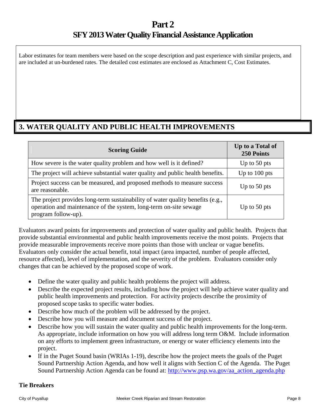Labor estimates for team members were based on the scope description and past experience with similar projects, and are included at un-burdened rates. The detailed cost estimates are enclosed as Attachment C, Cost Estimates.

## **3. WATER QUALITY AND PUBLIC HEALTH IMPROVEMENTS**

| <b>Scoring Guide</b>                                                                                                                                                       | Up to a Total of<br>250 Points |
|----------------------------------------------------------------------------------------------------------------------------------------------------------------------------|--------------------------------|
| How severe is the water quality problem and how well is it defined?                                                                                                        | Up to $50$ pts                 |
| The project will achieve substantial water quality and public health benefits.                                                                                             | Up to 100 pts                  |
| Project success can be measured, and proposed methods to measure success<br>are reasonable.                                                                                | Up to $50$ pts                 |
| The project provides long-term sustainability of water quality benefits (e.g.,<br>operation and maintenance of the system, long-term on-site sewage<br>program follow-up). | Up to $50$ pts                 |

Evaluators award points for improvements and protection of water quality and public health. Projects that provide substantial environmental and public health improvements receive the most points. Projects that provide measurable improvements receive more points than those with unclear or vague benefits. Evaluators only consider the actual benefit, total impact (area impacted, number of people affected, resource affected), level of implementation, and the severity of the problem. Evaluators consider only changes that can be achieved by the proposed scope of work.

- Define the water quality and public health problems the project will address.
- Describe the expected project results, including how the project will help achieve water quality and public health improvements and protection. For activity projects describe the proximity of proposed scope tasks to specific water bodies.
- Describe how much of the problem will be addressed by the project.
- Describe how you will measure and document success of the project.
- Describe how you will sustain the water quality and public health improvements for the long-term. As appropriate, include information on how you will address long term O&M. Include information on any efforts to implement green infrastructure, or energy or water efficiency elements into the project.
- If in the Puget Sound basin (WRIAs 1-19), describe how the project meets the goals of the Puget Sound Partnership Action Agenda, and how well it aligns with Section C of the Agenda. The Puget Sound Partnership Action Agenda can be found at: [http://www.psp.wa.gov/aa\\_action\\_agenda.php](http://www.psp.wa.gov/aa_action_agenda.php)

#### **Tie Breakers**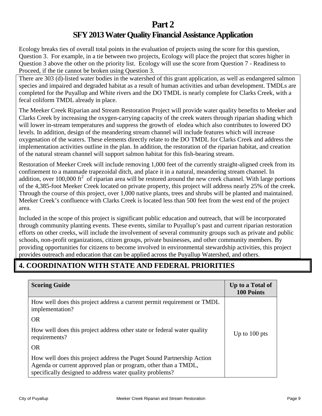# **Part 2**

## **SFY 2013Water Quality Financial Assistance Application**

Ecology breaks ties of overall total points in the evaluation of projects using the score for this question, Question 3. For example, in a tie between two projects, Ecology will place the project that scores higher in Question 3 above the other on the priority list. Ecology will use the score from Question 7 - Readiness to Proceed, if the tie cannot be broken using Question 3.

There are 303 (d)-listed water bodies in the watershed of this grant application, as well as endangered salmon species and impaired and degraded habitat as a result of human activities and urban development. TMDLs are completed for the Puyallup and White rivers and the DO TMDL is nearly complete for Clarks Creek, with a fecal coliform TMDL already in place.

The Meeker Creek Riparian and Stream Restoration Project will provide water quality benefits to Meeker and Clarks Creek by increasing the oxygen-carrying capacity of the creek waters through riparian shading which will lower in-stream temperatures and suppress the growth of elodea which also contributes to lowered DO levels. In addition, design of the meandering stream channel will include features which will increase oxygenation of the waters. These elements directly relate to the DO TMDL for Clarks Creek and address the implementation activities outline in the plan. In addition, the restoration of the riparian habitat, and creation of the natural stream channel will support salmon habitat for this fish-bearing stream.

Restoration of Meeker Creek will include removing 1,000 feet of the currently straight-aligned creek from its confinement to a manmade trapezoidal ditch, and place it in a natural, meandering stream channel. In addition, over 100,000 ft<sup>2</sup> of riparian area will be restored around the new creek channel. With large portions of the 4,385-foot Meeker Creek located on private property, this project will address nearly 25% of the creek. Through the course of this project, over 1,000 native plants, trees and shrubs will be planted and maintained. Meeker Creek's confluence with Clarks Creek is located less than 500 feet from the west end of the project area.

Included in the scope of this project is significant public education and outreach, that will be incorporated through community planting events. These events, similar to Puyallup's past and current riparian restoration efforts on other creeks, will include the involvement of several community groups such as private and public schools, non-profit organizations, citizen groups, private businesses, and other community members. By providing opportunities for citizens to become involved in environmental stewardship activities, this project provides outreach and education that can be applied across the Puyallup Watershed, and others.

### **4. COORDINATION WITH STATE AND FEDERAL PRIORITIES**

| <b>Scoring Guide</b>                                                                                                                                                                                | Up to a Total of<br><b>100 Points</b> |
|-----------------------------------------------------------------------------------------------------------------------------------------------------------------------------------------------------|---------------------------------------|
| How well does this project address a current permit requirement or TMDL<br>implementation?                                                                                                          |                                       |
| <b>OR</b>                                                                                                                                                                                           |                                       |
| How well does this project address other state or federal water quality<br>requirements?                                                                                                            | Up to $100$ pts                       |
| <b>OR</b>                                                                                                                                                                                           |                                       |
| How well does this project address the Puget Sound Partnership Action<br>Agenda or current approved plan or program, other than a TMDL,<br>specifically designed to address water quality problems? |                                       |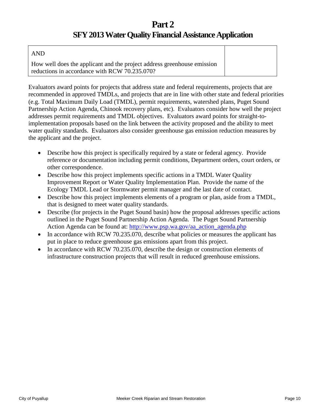#### AND

How well does the applicant and the project address greenhouse emission reductions in accordance with RCW 70.235.070?

Evaluators award points for projects that address state and federal requirements, projects that are recommended in approved TMDLs, and projects that are in line with other state and federal priorities (e.g. Total Maximum Daily Load (TMDL), permit requirements, watershed plans, Puget Sound Partnership Action Agenda, Chinook recovery plans, etc). Evaluators consider how well the project addresses permit requirements and TMDL objectives. Evaluators award points for straight-toimplementation proposals based on the link between the activity proposed and the ability to meet water quality standards. Evaluators also consider greenhouse gas emission reduction measures by the applicant and the project.

- Describe how this project is specifically required by a state or federal agency. Provide reference or documentation including permit conditions, Department orders, court orders, or other correspondence.
- Describe how this project implements specific actions in a TMDL Water Quality Improvement Report or Water Quality Implementation Plan. Provide the name of the Ecology TMDL Lead or Stormwater permit manager and the last date of contact.
- Describe how this project implements elements of a program or plan, aside from a TMDL, that is designed to meet water quality standards.
- Describe (for projects in the Puget Sound basin) how the proposal addresses specific actions outlined in the Puget Sound Partnership Action Agenda. The Puget Sound Partnership Action Agenda can be found at: [http://www.psp.wa.gov/aa\\_action\\_agenda.php](http://www.psp.wa.gov/aa_action_agenda.php)
- In accordance with RCW 70.235.070, describe what policies or measures the applicant has put in place to reduce greenhouse gas emissions apart from this project.
- In accordance with RCW 70.235.070, describe the design or construction elements of infrastructure construction projects that will result in reduced greenhouse emissions.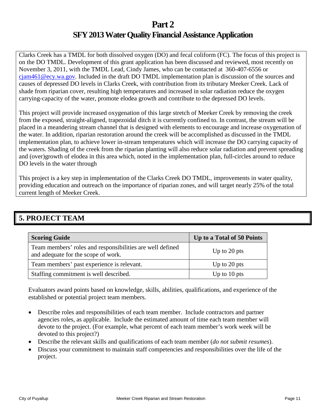Clarks Creek has a TMDL for both dissolved oxygen (DO) and fecal coliform (FC). The focus of this project is on the DO TMDL. Development of this grant application has been discussed and reviewed, most recently on November 3, 2011, with the TMDL Lead, Cindy James, who can be contacted at 360-407-6556 or [cjam461@ecy.wa.gov.](mailto:cjam461@ecy.wa.gov) Included in the draft DO TMDL implementation plan is discussion of the sources and causes of depressed DO levels in Clarks Creek, with contribution from its tributary Meeker Creek. Lack of shade from riparian cover, resulting high temperatures and increased in solar radiation reduce the oxygen carrying-capacity of the water, promote elodea growth and contribute to the depressed DO levels.

This project will provide increased oxygenation of this large stretch of Meeker Creek by removing the creek from the exposed, straight-aligned, trapezoidal ditch it is currently confined to. In contrast, the stream will be placed in a meandering stream channel that is designed with elements to encourage and increase oxygenation of the water. In addition, riparian restoration around the creek will be accomplished as discussed in the TMDL implementation plan, to achieve lower in-stream temperatures which will increase the DO carrying capacity of the waters. Shading of the creek from the riparian planting will also reduce solar radiation and prevent spreading and (over)growth of elodea in this area which, noted in the implementation plan, full-circles around to reduce DO levels in the water through

This project is a key step in implementation of the Clarks Creek DO TMDL, improvements in water quality, providing education and outreach on the importance of riparian zones, and will target nearly 25% of the total current length of Meeker Creek.

### **5. PROJECT TEAM**

| <b>Scoring Guide</b>                                                                             | Up to a Total of 50 Points |
|--------------------------------------------------------------------------------------------------|----------------------------|
| Team members' roles and responsibilities are well defined<br>and adequate for the scope of work. | Up to $20$ pts             |
| Team members' past experience is relevant.                                                       | Up to $20$ pts             |
| Staffing commitment is well described.                                                           | Up to $10$ pts             |

Evaluators award points based on knowledge, skills, abilities, qualifications, and experience of the established or potential project team members.

- Describe roles and responsibilities of each team member. Include contractors and partner agencies roles, as applicable. Include the estimated amount of time each team member will devote to the project. (For example, what percent of each team member's work week will be devoted to this project?)
- Describe the relevant skills and qualifications of each team member (*do not submit resumes*).
- Discuss your commitment to maintain staff competencies and responsibilities over the life of the project.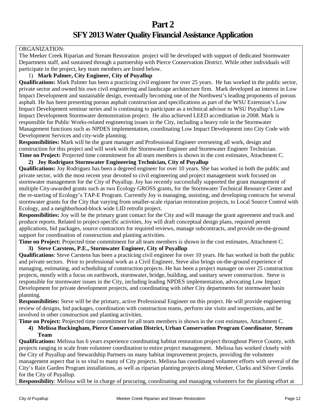#### ORGANIZATION:

The Meeker Creek Riparian and Stream Restoration project will be developed with support of dedicated Stormwater Departmetn staff, and sustained through a partnership with Pierce Conservation District. While other individuals will participate in the project, key team members are listed below.

#### 1) **Mark Palmer, City Engineer, City of Puyallup**

**Qualifications:** Mark Palmer has been a practicing civil engineer for over 25 years. He has worked in the public sector, private sector and owned his own civil engineering and landscape architecture firm. Mark developed an interest in Low Impact Development and sustainable design, eventually becoming one of the Northwest's leading proponents of porous asphalt. He has been presenting porous asphalt construction and specifications as part of the WSU Extension's Low Impact Development seminar series and is continuing to participate as a technical advisor to WSU Puyallup's Low Impact Development Stormwater demonstration project. He also achieved LEED accreditation in 2008. Mark is responsible for Public Works-related engineering issues in the City, including a heavy role in the Stormwater Management functions such as NPDES implementation, coordinating Low Impact Development into City Code with Development Services and city-wide planning.

**Responsibilities:** Mark will be the grant manager and Professional Engineer overseeing all work, design and construction for this project and will work with the Stormwater Engineer and Stormwater Engineer Technician. **Time on Project:** Projected time commitment for all team members is shown in the cost estimates, Attachment C.

#### **2) Joy Rodriguez Stormwater Engineering Technician, City of Puyallup**

**Qualifications:** Joy Rodriguez has been a degreed engineer for over 10 years. She has worked in both the public and private sector, with the most recent year devoted to civil engineering and project management work focused on stormwater management for the City of Puyallup. Joy has recently successfully supported the grant management of multiple City-awarded grants such as two Ecology GROSS grants, for the Stormwater Technical Resource Center and the re-starting of Ecology's TAP-E Program. Currently Joy is managing, assisting, and developing contracts for several stormwater grants for the City that varying from smaller-scale riparian restoration projects, to Local Source Control with Ecology, and a neighborhood-block wide LID retrofit project.

**Responsibilities:** Joy will be the primary grant contact for the City and will manage the grant agreement and track and produce reports. Related to project-specific activities, Joy will draft conceptual design plans, required permit applications, bid packages, source contractors for required reviews, manage subcontracts, and provide on-the-ground support for coordination of construction and planting activities.

**Time on Project:** Projected time commitment for all team members is shown in the cost estimates, Attachment C. **3) Steve Carstens, P.E., Stormwater Engineer, City of Puyallup**

**Qualifications**: Steve Carstens has been a practicing civil engineer for over 10 years. He has worked in both the public and private sectors. Prior to professional work as a Civil Engineer, Steve also brings on-the-ground experience of managing, estimating, and scheduling of construction projects. He has been a project manager on over 25 construction projects, mostly with a focus on earthwork, stormwater, bridge, building, and sanitary sewer construction. Steve is responsible for stormwater issues in the City, including leading NPDES implementation, advocating Low Impact Development for private development projects, and coordinating with other City departments for stormwater basin planning.

**Responsibilities:** Steve will be the primary, active Professional Engineer on this project. He will provide engineering review of designs, bid packages, coordination with construction teams, perform site visits and inspections, and be involved in other construction and planting activities.

**Time on Project:** Projected time commitment for all team members is shown in the cost estimates, Attachment C.

**4) Melissa Buckingham, Pierce Conservation District, Urban Conservation Program Coordinator**, **Stream Team**

**Qualifications:** Melissa has 6 years experience coordinating habitat restoration project throughout Pierce County, with projects ranging in scale from volunteer coordination to entire project management. Melissa has worked closely with the City of Puyallup and Stewardship Partners on many habitat improvement projects, providing the volunteer management aspect that is so vital to many of City projects. Melissa has coordinated volunteer efforts with several of the City's Rain Garden Program installations, as well as riparian planting projects along Meeker, Clarks and Silver Creeks for the City of Puyallup.

**Responsibility**: Melissa will be in charge of procuring, coordinating and managing volunteers for the planting effort at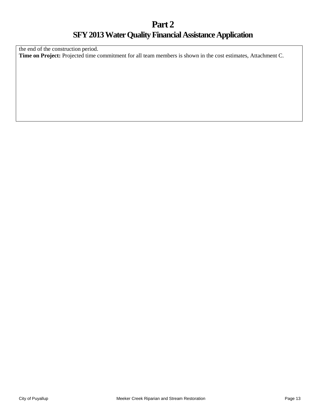the end of the construction period.

Time on Project: Projected time commitment for all team members is shown in the cost estimates, Attachment C.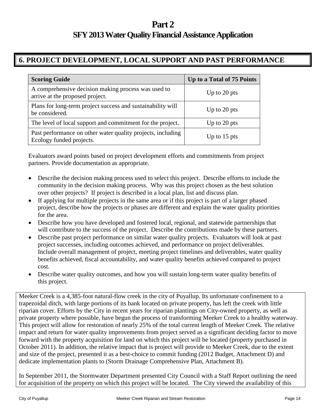### **6. PROJECT DEVELOPMENT, LOCAL SUPPORT AND PAST PERFORMANCE**

| <b>Scoring Guide</b>                                                                    | Up to a Total of 75 Points |
|-----------------------------------------------------------------------------------------|----------------------------|
| A comprehensive decision making process was used to<br>arrive at the proposed project.  | Up to 20 pts               |
| Plans for long-term project success and sustainability will<br>be considered.           | Up to $20$ pts             |
| The level of local support and commitment for the project.                              | Up to $20$ pts             |
| Past performance on other water quality projects, including<br>Ecology funded projects. | Up to $15$ pts             |

Evaluators award points based on project development efforts and commitments from project partners. Provide documentation as appropriate.

- Describe the decision making process used to select this project. Describe efforts to include the community in the decision making process. Why was this project chosen as the best solution over other projects? If project is described in a local plan, list and discuss plan.
- If applying for multiple projects in the same area or if this project is part of a larger phased project, describe how the projects or phases are different and explain the water quality priorities for the area.
- Describe how you have developed and fostered local, regional, and statewide partnerships that will contribute to the success of the project. Describe the contributions made by these partners.
- Describe past project performance on similar water quality projects. Evaluators will look at past project successes, including outcomes achieved, and performance on project deliverables. Include overall management of project, meeting project timelines and deliverables, water quality benefits achieved, fiscal accountability, and water quality benefits achieved compared to project cost.
- Describe water quality outcomes, and how you will sustain long-term water quality benefits of this project.

Meeker Creek is a 4,385-foot natural-flow creek in the city of Puyallup. Its unfortunate confinement to a trapezoidal ditch, with large portions of its bank located on private property, has left the creek with little riparian cover. Efforts by the City in recent years for riparian plantings on City-owned property, as well as private property where possible, have begun the process of transforming Meeker Creek to a healthy waterway. This project will allow for restoration of nearly 25% of the total current length of Meeker Creek. The relative impact and return for water quality improvements from project served as a significant deciding factor to move forward with the property acquisition for land on which this project will be located (property purchased in October 2011). In addition, the relative impact that is project will provide to Meeker Creek, due to the extent and size of the project, presented it as a best-choice to commit funding (2012 Budget, Attachment D) and dedicate implementation plants to (Storm Drainage Comprehensive Plan, Attachment B).

In September 2011, the Stormwater Department presented City Council with a Staff Report outlining the need for acquisition of the property on which this project will be located. The City viewed the availability of this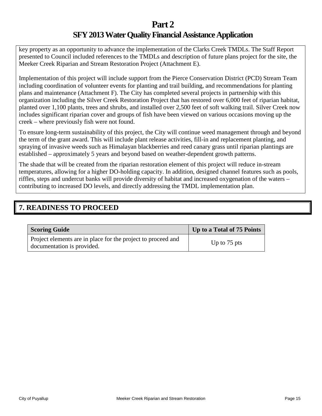key property as an opportunity to advance the implementation of the Clarks Creek TMDLs. The Staff Report presented to Council included references to the TMDLs and description of future plans project for the site, the Meeker Creek Riparian and Stream Restoration Project (Attachment E).

Implementation of this project will include support from the Pierce Conservation District (PCD) Stream Team including coordination of volunteer events for planting and trail building, and recommendations for planting plans and maintenance (Attachment F). The City has completed several projects in partnership with this organization including the Silver Creek Restoration Project that has restored over 6,000 feet of riparian habitat, planted over 1,100 plants, trees and shrubs, and installed over 2,500 feet of soft walking trail. Silver Creek now includes significant riparian cover and groups of fish have been viewed on various occasions moving up the creek – where previously fish were not found.

To ensure long-term sustainability of this project, the City will continue weed management through and beyond the term of the grant award. This will include plant release activities, fill-in and replacement planting, and spraying of invasive weeds such as Himalayan blackberries and reed canary grass until riparian plantings are established – approximately 5 years and beyond based on weather-dependent growth patterns.

The shade that will be created from the riparian restoration element of this project will reduce in-stream temperatures, allowing for a higher DO-holding capacity. In addition, designed channel features such as pools, riffles, steps and undercut banks will provide diversity of habitat and increased oxygenation of the waters – contributing to increased DO levels, and directly addressing the TMDL implementation plan.

### **7. READINESS TO PROCEED**

| <b>Scoring Guide</b>                                                                       | Up to a Total of 75 Points |
|--------------------------------------------------------------------------------------------|----------------------------|
| Project elements are in place for the project to proceed and<br>documentation is provided. | Up to 75 pts               |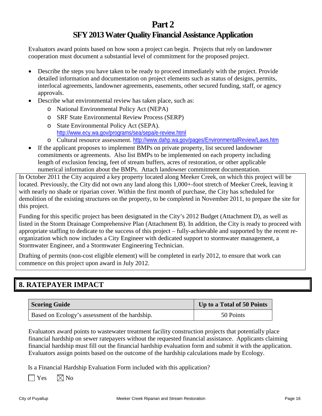Evaluators award points based on how soon a project can begin. Projects that rely on landowner cooperation must document a substantial level of commitment for the proposed project.

- Describe the steps you have taken to be ready to proceed immediately with the project. Provide detailed information and documentation on project elements such as status of designs, permits, interlocal agreements, landowner agreements, easements, other secured funding, staff, or agency approvals.
- Describe what environmental review has taken place, such as:
	- o National Environmental Policy Act (NEPA)
	- o SRF State Environmental Review Process (SERP)
	- o State Environmental Policy Act (SEPA). <http://www.ecy.wa.gov/programs/sea/sepa/e-review.html>
	- o Cultural resource assessment. <http://www.dahp.wa.gov/pages/EnvironmentalReview/Laws.htm>
- If the applicant proposes to implement BMPs on private property, list secured landowner commitments or agreements. Also list BMPs to be implemented on each property including length of exclusion fencing, feet of stream buffers, acres of restoration, or other applicable numerical information about the BMPs. Attach landowner commitment documentation.

In October 2011 the City acquired a key property located along Meeker Creek, on which this project will be located. Previously, the City did not own any land along this 1,000+-foot stretch of Meeker Creek, leaving it with nearly no shade or riparian cover. Within the first month of purchase, the City has scheduled for demolition of the existing structures on the property, to be completed in November 2011, to prepare the site for this project.

Funding for this specific project has been designated in the City's 2012 Budget (Attachment D), as well as listed in the Storm Drainage Comprehensive Plan (Attachment B). In addition, the City is ready to proceed with appropriate staffing to dedicate to the success of this project – fully-achievable and supported by the recent reorganization which now includes a City Engineer with dedicated support to stormwater management, a Stormwater Engineer, and a Stormwater Engineering Technician.

Drafting of permits (non-cost eligible element) will be completed in early 2012, to ensure that work can commence on this project upon award in July 2012.

## **8. RATEPAYER IMPACT**

| <b>Scoring Guide</b>                           | Up to a Total of 50 Points |
|------------------------------------------------|----------------------------|
| Based on Ecology's assessment of the hardship. | 50 Points                  |

Evaluators award points to wastewater treatment facility construction projects that potentially place financial hardship on sewer ratepayers without the requested financial assistance. Applicants claiming financial hardship must fill out the financial hardship evaluation form and submit it with the application. Evaluators assign points based on the outcome of the hardship calculations made by Ecology.

Is a Financial Hardship Evaluation Form included with this application?

 $\forall$  Pes  $\land$  No